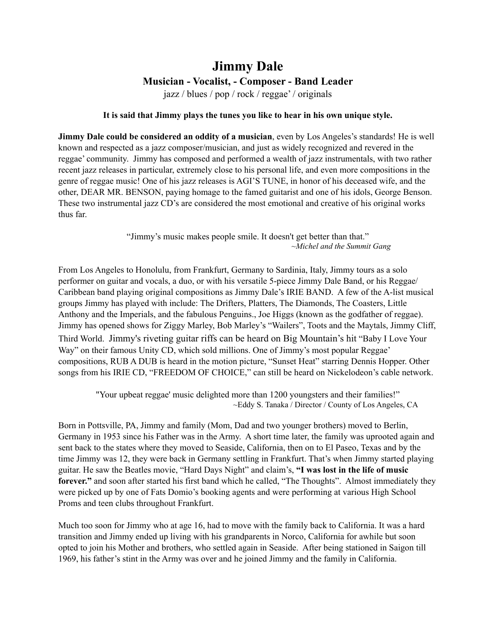# **Jimmy Dale Musician - Vocalist, - Composer - Band Leader**

jazz / blues / pop / rock / reggae' / originals

### **It is said that Jimmy plays the tunes you like to hear in his own unique style.**

**Jimmy Dale could be considered an oddity of a musician**, even by Los Angeles's standards! He is well known and respected as a jazz composer/musician, and just as widely recognized and revered in the reggae' community. Jimmy has composed and performed a wealth of jazz instrumentals, with two rather recent jazz releases in particular, extremely close to his personal life, and even more compositions in the genre of reggae music! One of his jazz releases is AGI'S TUNE, in honor of his deceased wife, and the other, DEAR MR. BENSON, paying homage to the famed guitarist and one of his idols, George Benson. These two instrumental jazz CD's are considered the most emotional and creative of his original works thus far.

> "Jimmy's music makes people smile. It doesn't get better than that." *~Michel and the Summit Gang*

From Los Angeles to Honolulu, from Frankfurt, Germany to Sardinia, Italy, Jimmy tours as a solo performer on guitar and vocals, a duo, or with his versatile 5-piece Jimmy Dale Band, or his Reggae/ Caribbean band playing original compositions as Jimmy Dale's IRIE BAND. A few of the A-list musical groups Jimmy has played with include: The Drifters, Platters, The Diamonds, The Coasters, Little Anthony and the Imperials, and the fabulous Penguins., Joe Higgs (known as the godfather of reggae). Jimmy has opened shows for Ziggy Marley, Bob Marley's "Wailers", Toots and the Maytals, Jimmy Cliff, Third World. Jimmy's riveting guitar riffs can be heard on Big Mountain's hit "Baby I Love Your Way" on their famous Unity CD, which sold millions. One of Jimmy's most popular Reggae' compositions, RUB A DUB is heard in the motion picture, "Sunset Heat" starring Dennis Hopper. Other songs from his IRIE CD, "FREEDOM OF CHOICE," can still be heard on Nickelodeon's cable network.

"Your upbeat reggae' music delighted more than 1200 youngsters and their families!" ~Eddy S. Tanaka / Director / County of Los Angeles, CA

Born in Pottsville, PA, Jimmy and family (Mom, Dad and two younger brothers) moved to Berlin, Germany in 1953 since his Father was in the Army. A short time later, the family was uprooted again and sent back to the states where they moved to Seaside, California, then on to El Paseo, Texas and by the time Jimmy was 12, they were back in Germany settling in Frankfurt. That's when Jimmy started playing guitar. He saw the Beatles movie, "Hard Days Night" and claim's, **"I was lost in the life of music forever."** and soon after started his first band which he called, "The Thoughts". Almost immediately they were picked up by one of Fats Domio's booking agents and were performing at various High School Proms and teen clubs throughout Frankfurt.

Much too soon for Jimmy who at age 16, had to move with the family back to California. It was a hard transition and Jimmy ended up living with his grandparents in Norco, California for awhile but soon opted to join his Mother and brothers, who settled again in Seaside. After being stationed in Saigon till 1969, his father's stint in the Army was over and he joined Jimmy and the family in California.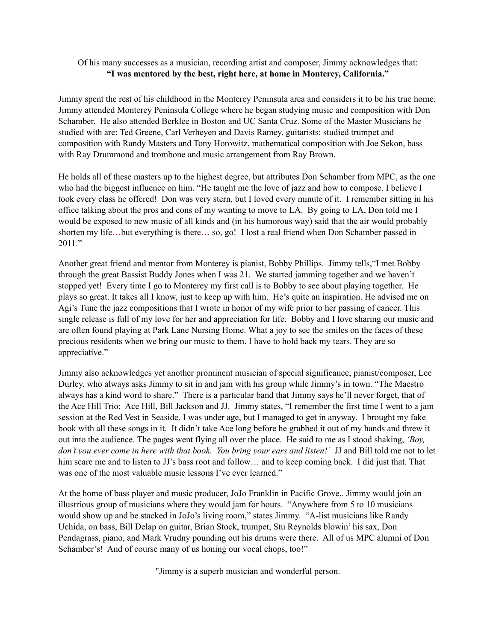## Of his many successes as a musician, recording artist and composer, Jimmy acknowledges that: **"I was mentored by the best, right here, at home in Monterey, California."**

Jimmy spent the rest of his childhood in the Monterey Peninsula area and considers it to be his true home. Jimmy attended Monterey Peninsula College where he began studying music and composition with Don Schamber. He also attended Berklee in Boston and UC Santa Cruz. Some of the Master Musicians he studied with are: Ted Greene, Carl Verheyen and Davis Ramey, guitarists: studied trumpet and composition with Randy Masters and Tony Horowitz, mathematical composition with Joe Sekon, bass with Ray Drummond and trombone and music arrangement from Ray Brown.

He holds all of these masters up to the highest degree, but attributes Don Schamber from MPC, as the one who had the biggest influence on him. "He taught me the love of jazz and how to compose. I believe I took every class he offered! Don was very stern, but I loved every minute of it. I remember sitting in his office talking about the pros and cons of my wanting to move to LA. By going to LA, Don told me I would be exposed to new music of all kinds and (in his humorous way) said that the air would probably shorten my life…but everything is there… so, go! I lost a real friend when Don Schamber passed in 2011."

Another great friend and mentor from Monterey is pianist, Bobby Phillips. Jimmy tells,"I met Bobby through the great Bassist Buddy Jones when I was 21. We started jamming together and we haven't stopped yet! Every time I go to Monterey my first call is to Bobby to see about playing together. He plays so great. It takes all I know, just to keep up with him. He's quite an inspiration. He advised me on Agi's Tune the jazz compositions that I wrote in honor of my wife prior to her passing of cancer. This single release is full of my love for her and appreciation for life. Bobby and I love sharing our music and are often found playing at Park Lane Nursing Home. What a joy to see the smiles on the faces of these precious residents when we bring our music to them. I have to hold back my tears. They are so appreciative."

Jimmy also acknowledges yet another prominent musician of special significance, pianist/composer, Lee Durley. who always asks Jimmy to sit in and jam with his group while Jimmy's in town. "The Maestro always has a kind word to share." There is a particular band that Jimmy says he'll never forget, that of the Ace Hill Trio: Ace Hill, Bill Jackson and JJ. Jimmy states, "I remember the first time I went to a jam session at the Red Vest in Seaside. I was under age, but I managed to get in anyway. I brought my fake book with all these songs in it. It didn't take Ace long before he grabbed it out of my hands and threw it out into the audience. The pages went flying all over the place. He said to me as I stood shaking, *'Boy, don't you ever come in here with that book. You bring your ears and listen!'* JJ and Bill told me not to let him scare me and to listen to JJ's bass root and follow... and to keep coming back. I did just that. That was one of the most valuable music lessons I've ever learned."

At the home of bass player and music producer, JoJo Franklin in Pacific Grove,. Jimmy would join an illustrious group of musicians where they would jam for hours. "Anywhere from 5 to 10 musicians would show up and be stacked in JoJo's living room," states Jimmy. "A-list musicians like Randy Uchida, on bass, Bill Delap on guitar, Brian Stock, trumpet, Stu Reynolds blowin' his sax, Don Pendagrass, piano, and Mark Vrudny pounding out his drums were there. All of us MPC alumni of Don Schamber's! And of course many of us honing our vocal chops, too!"

"Jimmy is a superb musician and wonderful person.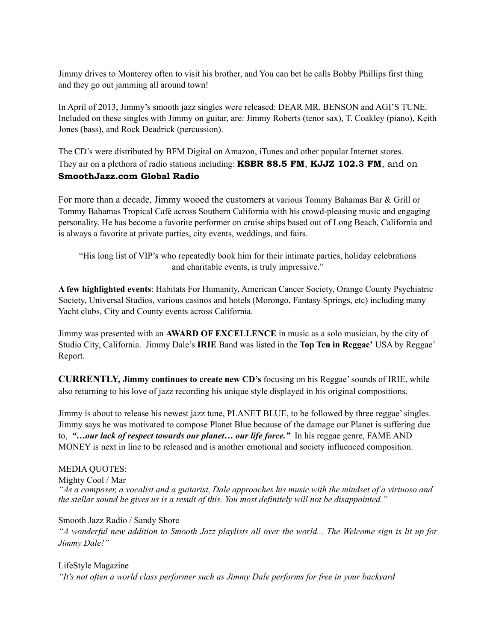Jimmy drives to Monterey often to visit his brother, and You can bet he calls Bobby Phillips first thing and they go out jamming all around town!

In April of 2013, Jimmy's smooth jazz singles were released: DEAR MR. BENSON and AGI'S TUNE. Included on these singles with Jimmy on guitar, are: Jimmy Roberts (tenor sax), T. Coakley (piano), Keith Jones (bass), and Rock Deadrick (percussion).

The CD's were distributed by BFM Digital on Amazon, iTunes and other popular Internet stores. They air on a plethora of radio stations including: **KSBR 88.5 FM**, **KJJZ 102.3 FM**, and on **SmoothJazz.com Global Radio**

For more than a decade, Jimmy wooed the customers at various Tommy Bahamas Bar & Grill or Tommy Bahamas Tropical Café across Southern California with his crowd-pleasing music and engaging personality. He has become a favorite performer on cruise ships based out of Long Beach, California and is always a favorite at private parties, city events, weddings, and fairs.

"His long list of VIP's who repeatedly book him for their intimate parties, holiday celebrations and charitable events, is truly impressive."

**A few highlighted events**: Habitats For Humanity, American Cancer Society, Orange County Psychiatric Society, Universal Studios, various casinos and hotels (Morongo, Fantasy Springs, etc) including many Yacht clubs, City and County events across California.

Jimmy was presented with an **AWARD OF EXCELLENCE** in music as a solo musician, by the city of Studio City, California. Jimmy Dale's **IRIE** Band was listed in the **Top Ten in Reggae'** USA by Reggae' Report.

**CURRENTLY, Jimmy continues to create new CD's** focusing on his Reggae' sounds of IRIE, while also returning to his love of jazz recording his unique style displayed in his original compositions.

Jimmy is about to release his newest jazz tune, PLANET BLUE, to be followed by three reggae' singles. Jimmy says he was motivated to compose Planet Blue because of the damage our Planet is suffering due to, *"…our lack of respect towards our planet… our life force."* In his reggae genre, FAME AND MONEY is next in line to be released and is another emotional and society influenced composition.

#### MEDIA QUOTES:

#### Mighty Cool / Mar

*"As a composer, a vocalist and a guitarist, Dale approaches his music with the mindset of a virtuoso and the stellar sound he gives us is a result of this. You most definitely will not be disappointed."*

#### Smooth Jazz Radio / Sandy Shore

*"A wonderful new addition to Smooth Jazz playlists all over the world... The Welcome sign is lit up for Jimmy Dale!"*

#### LifeStyle Magazine

*"It's not often a world class performer such as Jimmy Dale performs for free in your backyard*